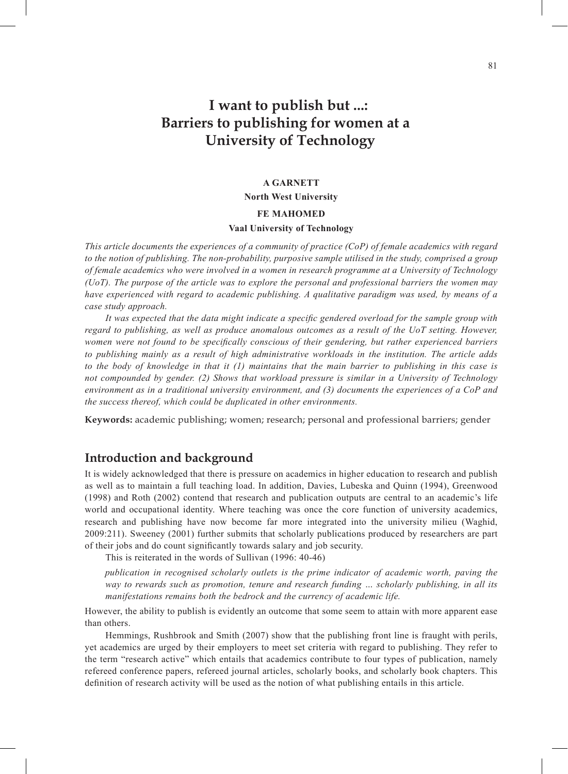# **I want to publish but ...: Barriers to publishing for women at a University of Technology**

#### **A GARNETT North West University**

#### **FE MAHOMED**

#### **Vaal University of Technology**

*This article documents the experiences of a community of practice (CoP) of female academics with regard*  to the notion of publishing. The non-probability, purposive sample utilised in the study, comprised a group *of female academics who were involved in a women in research programme at a University of Technology (UoT). The purpose of the article was to explore the personal and professional barriers the women may have experienced with regard to academic publishing. A qualitative paradigm was used, by means of a case study approach.* 

*It was expected that the data might indicate a specific gendered overload for the sample group with regard to publishing, as well as produce anomalous outcomes as a result of the UoT setting. However, women were not found to be specifically conscious of their gendering, but rather experienced barriers to publishing mainly as a result of high administrative workloads in the institution. The article adds to the body of knowledge in that it (1) maintains that the main barrier to publishing in this case is not compounded by gender. (2) Shows that workload pressure is similar in a University of Technology environment as in a traditional university environment, and (3) documents the experiences of a CoP and the success thereof, which could be duplicated in other environments.*

**Keywords:** academic publishing; women; research; personal and professional barriers; gender

#### **Introduction and background**

It is widely acknowledged that there is pressure on academics in higher education to research and publish as well as to maintain a full teaching load. In addition, Davies, Lubeska and Quinn (1994), Greenwood (1998) and Roth (2002) contend that research and publication outputs are central to an academic's life world and occupational identity. Where teaching was once the core function of university academics, research and publishing have now become far more integrated into the university milieu (Waghid, 2009:211). Sweeney (2001) further submits that scholarly publications produced by researchers are part of their jobs and do count significantly towards salary and job security.

This is reiterated in the words of Sullivan (1996: 40-46)

*publication in recognised scholarly outlets is the prime indicator of academic worth, paving the way to rewards such as promotion, tenure and research funding … scholarly publishing, in all its manifestations remains both the bedrock and the currency of academic life.*

However, the ability to publish is evidently an outcome that some seem to attain with more apparent ease than others.

Hemmings, Rushbrook and Smith (2007) show that the publishing front line is fraught with perils, yet academics are urged by their employers to meet set criteria with regard to publishing. They refer to the term "research active" which entails that academics contribute to four types of publication, namely refereed conference papers, refereed journal articles, scholarly books, and scholarly book chapters. This definition of research activity will be used as the notion of what publishing entails in this article.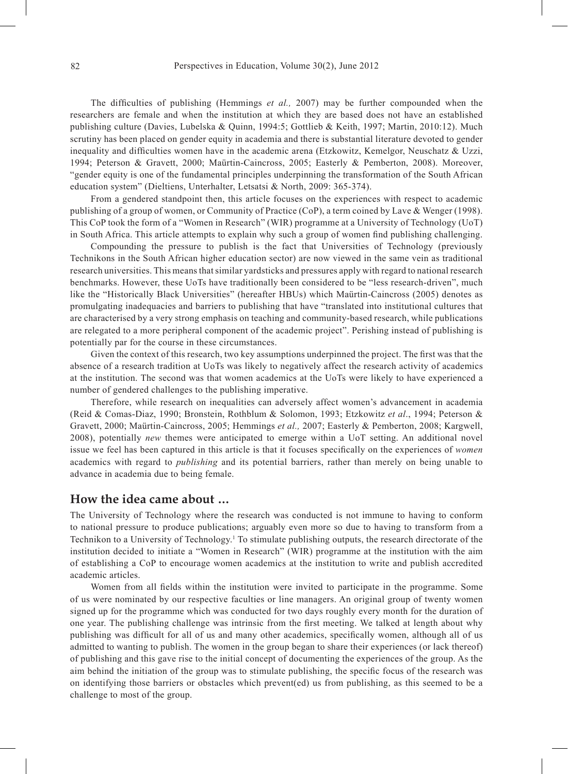The difficulties of publishing (Hemmings *et al.,* 2007) may be further compounded when the researchers are female and when the institution at which they are based does not have an established publishing culture (Davies, Lubelska & Quinn, 1994:5; Gottlieb & Keith, 1997; Martin, 2010:12). Much scrutiny has been placed on gender equity in academia and there is substantial literature devoted to gender inequality and difficulties women have in the academic arena (Etzkowitz, Kemelgor, Neuschatz & Uzzi, 1994; Peterson & Gravett, 2000; Maürtin-Caincross, 2005; Easterly & Pemberton, 2008). Moreover, "gender equity is one of the fundamental principles underpinning the transformation of the South African education system" (Dieltiens, Unterhalter, Letsatsi & North, 2009: 365-374).

From a gendered standpoint then, this article focuses on the experiences with respect to academic publishing of a group of women, or Community of Practice (CoP), a term coined by Lave & Wenger (1998). This CoP took the form of a "Women in Research" (WIR) programme at a University of Technology (UoT) in South Africa. This article attempts to explain why such a group of women find publishing challenging.

Compounding the pressure to publish is the fact that Universities of Technology (previously Technikons in the South African higher education sector) are now viewed in the same vein as traditional research universities. This means that similar yardsticks and pressures apply with regard to national research benchmarks. However, these UoTs have traditionally been considered to be "less research-driven", much like the "Historically Black Universities" (hereafter HBUs) which Maürtin-Caincross (2005) denotes as promulgating inadequacies and barriers to publishing that have "translated into institutional cultures that are characterised by a very strong emphasis on teaching and community-based research, while publications are relegated to a more peripheral component of the academic project". Perishing instead of publishing is potentially par for the course in these circumstances.

Given the context of this research, two key assumptions underpinned the project. The first was that the absence of a research tradition at UoTs was likely to negatively affect the research activity of academics at the institution. The second was that women academics at the UoTs were likely to have experienced a number of gendered challenges to the publishing imperative.

Therefore, while research on inequalities can adversely affect women's advancement in academia (Reid & Comas-Diaz, 1990; Bronstein, Rothblum & Solomon, 1993; Etzkowitz *et al*., 1994; Peterson & Gravett, 2000; Maürtin-Caincross, 2005; Hemmings *et al.,* 2007; Easterly & Pemberton, 2008; Kargwell, 2008), potentially *new* themes were anticipated to emerge within a UoT setting. An additional novel issue we feel has been captured in this article is that it focuses specifically on the experiences of *women* academics with regard to *publishing* and its potential barriers, rather than merely on being unable to advance in academia due to being female.

#### **How the idea came about …**

The University of Technology where the research was conducted is not immune to having to conform to national pressure to produce publications; arguably even more so due to having to transform from a Technikon to a University of Technology.<sup>1</sup> To stimulate publishing outputs, the research directorate of the institution decided to initiate a "Women in Research" (WIR) programme at the institution with the aim of establishing a CoP to encourage women academics at the institution to write and publish accredited academic articles.

Women from all fields within the institution were invited to participate in the programme. Some of us were nominated by our respective faculties or line managers. An original group of twenty women signed up for the programme which was conducted for two days roughly every month for the duration of one year. The publishing challenge was intrinsic from the first meeting. We talked at length about why publishing was difficult for all of us and many other academics, specifically women, although all of us admitted to wanting to publish. The women in the group began to share their experiences (or lack thereof) of publishing and this gave rise to the initial concept of documenting the experiences of the group. As the aim behind the initiation of the group was to stimulate publishing, the specific focus of the research was on identifying those barriers or obstacles which prevent(ed) us from publishing, as this seemed to be a challenge to most of the group.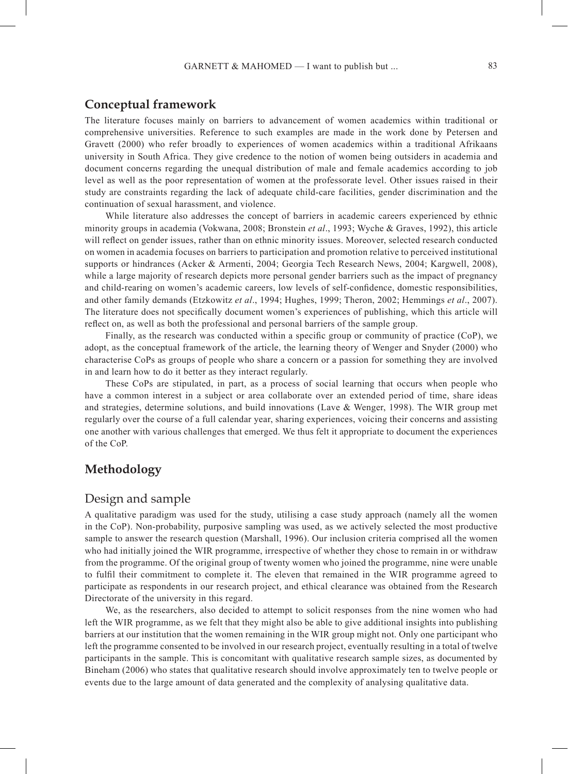## **Conceptual framework**

The literature focuses mainly on barriers to advancement of women academics within traditional or comprehensive universities. Reference to such examples are made in the work done by Petersen and Gravett (2000) who refer broadly to experiences of women academics within a traditional Afrikaans university in South Africa. They give credence to the notion of women being outsiders in academia and document concerns regarding the unequal distribution of male and female academics according to job level as well as the poor representation of women at the professorate level. Other issues raised in their study are constraints regarding the lack of adequate child-care facilities, gender discrimination and the continuation of sexual harassment, and violence.

While literature also addresses the concept of barriers in academic careers experienced by ethnic minority groups in academia (Vokwana, 2008; Bronstein *et al*., 1993; Wyche & Graves, 1992), this article will reflect on gender issues, rather than on ethnic minority issues. Moreover, selected research conducted on women in academia focuses on barriers to participation and promotion relative to perceived institutional supports or hindrances (Acker & Armenti, 2004; Georgia Tech Research News, 2004; Kargwell, 2008), while a large majority of research depicts more personal gender barriers such as the impact of pregnancy and child-rearing on women's academic careers, low levels of self-confidence, domestic responsibilities, and other family demands (Etzkowitz *et al*., 1994; Hughes, 1999; Theron, 2002; Hemmings *et al*., 2007). The literature does not specifically document women's experiences of publishing, which this article will reflect on, as well as both the professional and personal barriers of the sample group.

Finally, as the research was conducted within a specific group or community of practice (CoP), we adopt, as the conceptual framework of the article, the learning theory of Wenger and Snyder (2000) who characterise CoPs as groups of people who share a concern or a passion for something they are involved in and learn how to do it better as they interact regularly.

These CoPs are stipulated, in part, as a process of social learning that occurs when people who have a common interest in a subject or area collaborate over an extended period of time, share ideas and strategies, determine solutions, and build innovations (Lave & Wenger, 1998). The WIR group met regularly over the course of a full calendar year, sharing experiences, voicing their concerns and assisting one another with various challenges that emerged. We thus felt it appropriate to document the experiences of the CoP.

## **Methodology**

## Design and sample

A qualitative paradigm was used for the study, utilising a case study approach (namely all the women in the CoP). Non-probability, purposive sampling was used, as we actively selected the most productive sample to answer the research question (Marshall, 1996). Our inclusion criteria comprised all the women who had initially joined the WIR programme, irrespective of whether they chose to remain in or withdraw from the programme. Of the original group of twenty women who joined the programme, nine were unable to fulfil their commitment to complete it. The eleven that remained in the WIR programme agreed to participate as respondents in our research project, and ethical clearance was obtained from the Research Directorate of the university in this regard.

We, as the researchers, also decided to attempt to solicit responses from the nine women who had left the WIR programme, as we felt that they might also be able to give additional insights into publishing barriers at our institution that the women remaining in the WIR group might not. Only one participant who left the programme consented to be involved in our research project, eventually resulting in a total of twelve participants in the sample. This is concomitant with qualitative research sample sizes, as documented by Bineham (2006) who states that qualitative research should involve approximately ten to twelve people or events due to the large amount of data generated and the complexity of analysing qualitative data.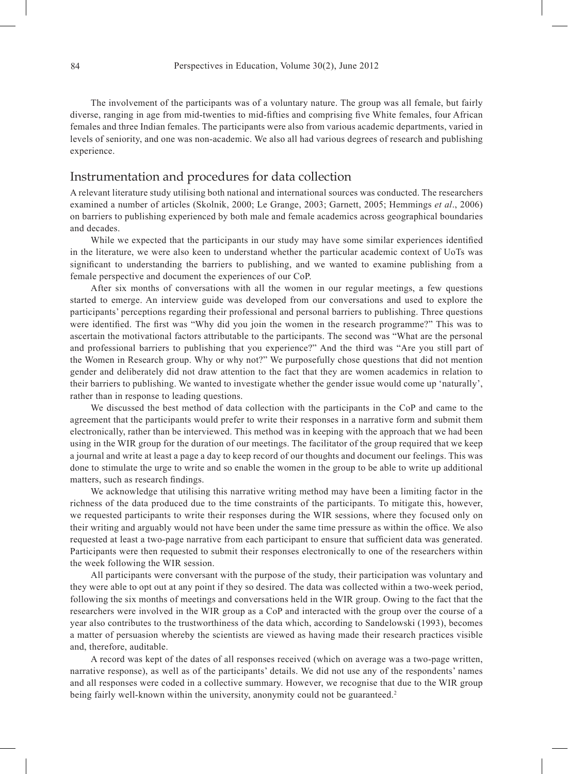The involvement of the participants was of a voluntary nature. The group was all female, but fairly diverse, ranging in age from mid-twenties to mid-fifties and comprising five White females, four African females and three Indian females. The participants were also from various academic departments, varied in levels of seniority, and one was non-academic. We also all had various degrees of research and publishing experience.

#### Instrumentation and procedures for data collection

A relevant literature study utilising both national and international sources was conducted. The researchers examined a number of articles (Skolnik, 2000; Le Grange, 2003; Garnett, 2005; Hemmings *et al*., 2006) on barriers to publishing experienced by both male and female academics across geographical boundaries and decades.

While we expected that the participants in our study may have some similar experiences identified in the literature, we were also keen to understand whether the particular academic context of UoTs was significant to understanding the barriers to publishing, and we wanted to examine publishing from a female perspective and document the experiences of our CoP.

After six months of conversations with all the women in our regular meetings, a few questions started to emerge. An interview guide was developed from our conversations and used to explore the participants' perceptions regarding their professional and personal barriers to publishing. Three questions were identified. The first was "Why did you join the women in the research programme?" This was to ascertain the motivational factors attributable to the participants. The second was "What are the personal and professional barriers to publishing that you experience?" And the third was "Are you still part of the Women in Research group. Why or why not?" We purposefully chose questions that did not mention gender and deliberately did not draw attention to the fact that they are women academics in relation to their barriers to publishing. We wanted to investigate whether the gender issue would come up 'naturally', rather than in response to leading questions.

We discussed the best method of data collection with the participants in the CoP and came to the agreement that the participants would prefer to write their responses in a narrative form and submit them electronically, rather than be interviewed. This method was in keeping with the approach that we had been using in the WIR group for the duration of our meetings. The facilitator of the group required that we keep a journal and write at least a page a day to keep record of our thoughts and document our feelings. This was done to stimulate the urge to write and so enable the women in the group to be able to write up additional matters, such as research findings.

We acknowledge that utilising this narrative writing method may have been a limiting factor in the richness of the data produced due to the time constraints of the participants. To mitigate this, however, we requested participants to write their responses during the WIR sessions, where they focused only on their writing and arguably would not have been under the same time pressure as within the office. We also requested at least a two-page narrative from each participant to ensure that sufficient data was generated. Participants were then requested to submit their responses electronically to one of the researchers within the week following the WIR session.

All participants were conversant with the purpose of the study, their participation was voluntary and they were able to opt out at any point if they so desired. The data was collected within a two-week period, following the six months of meetings and conversations held in the WIR group. Owing to the fact that the researchers were involved in the WIR group as a CoP and interacted with the group over the course of a year also contributes to the trustworthiness of the data which, according to Sandelowski (1993), becomes a matter of persuasion whereby the scientists are viewed as having made their research practices visible and, therefore, auditable.

A record was kept of the dates of all responses received (which on average was a two-page written, narrative response), as well as of the participants' details. We did not use any of the respondents' names and all responses were coded in a collective summary. However, we recognise that due to the WIR group being fairly well-known within the university, anonymity could not be guaranteed.<sup>2</sup>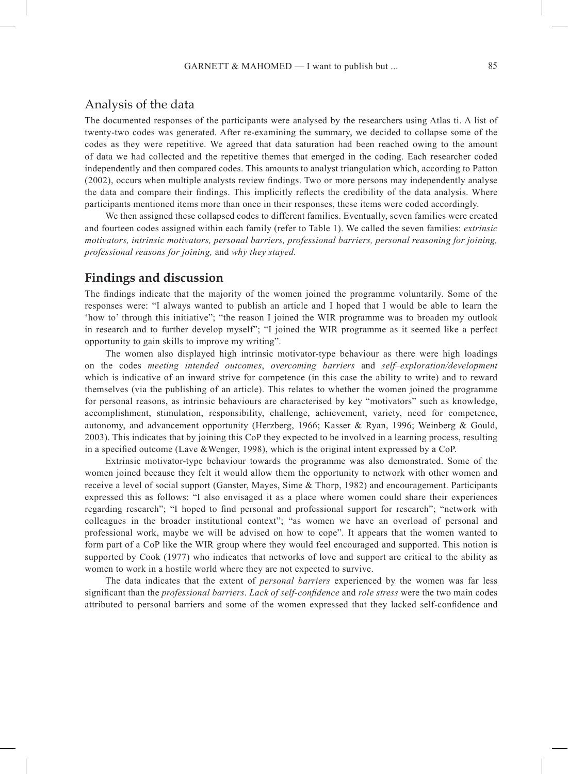## Analysis of the data

The documented responses of the participants were analysed by the researchers using Atlas ti. A list of twenty-two codes was generated. After re-examining the summary, we decided to collapse some of the codes as they were repetitive. We agreed that data saturation had been reached owing to the amount of data we had collected and the repetitive themes that emerged in the coding. Each researcher coded independently and then compared codes. This amounts to analyst triangulation which, according to Patton (2002), occurs when multiple analysts review findings. Two or more persons may independently analyse the data and compare their findings. This implicitly reflects the credibility of the data analysis. Where participants mentioned items more than once in their responses, these items were coded accordingly.

We then assigned these collapsed codes to different families. Eventually, seven families were created and fourteen codes assigned within each family (refer to Table 1). We called the seven families: *extrinsic motivators, intrinsic motivators, personal barriers, professional barriers, personal reasoning for joining, professional reasons for joining,* and *why they stayed.*

#### **Findings and discussion**

The findings indicate that the majority of the women joined the programme voluntarily. Some of the responses were: "I always wanted to publish an article and I hoped that I would be able to learn the 'how to' through this initiative"; "the reason I joined the WIR programme was to broaden my outlook in research and to further develop myself"; "I joined the WIR programme as it seemed like a perfect opportunity to gain skills to improve my writing".

The women also displayed high intrinsic motivator-type behaviour as there were high loadings on the codes *meeting intended outcomes*, *overcoming barriers* and *self–exploration/development* which is indicative of an inward strive for competence (in this case the ability to write) and to reward themselves (via the publishing of an article). This relates to whether the women joined the programme for personal reasons, as intrinsic behaviours are characterised by key "motivators" such as knowledge, accomplishment, stimulation, responsibility, challenge, achievement, variety, need for competence, autonomy, and advancement opportunity (Herzberg, 1966; Kasser & Ryan, 1996; Weinberg & Gould, 2003). This indicates that by joining this CoP they expected to be involved in a learning process, resulting in a specified outcome (Lave &Wenger, 1998), which is the original intent expressed by a CoP.

Extrinsic motivator-type behaviour towards the programme was also demonstrated. Some of the women joined because they felt it would allow them the opportunity to network with other women and receive a level of social support (Ganster, Mayes, Sime & Thorp, 1982) and encouragement. Participants expressed this as follows: "I also envisaged it as a place where women could share their experiences regarding research"; "I hoped to find personal and professional support for research"; "network with colleagues in the broader institutional context"; "as women we have an overload of personal and professional work, maybe we will be advised on how to cope". It appears that the women wanted to form part of a CoP like the WIR group where they would feel encouraged and supported. This notion is supported by Cook (1977) who indicates that networks of love and support are critical to the ability as women to work in a hostile world where they are not expected to survive.

The data indicates that the extent of *personal barriers* experienced by the women was far less significant than the *professional barriers*. *Lack of self-confidence* and *role stress* were the two main codes attributed to personal barriers and some of the women expressed that they lacked self-confidence and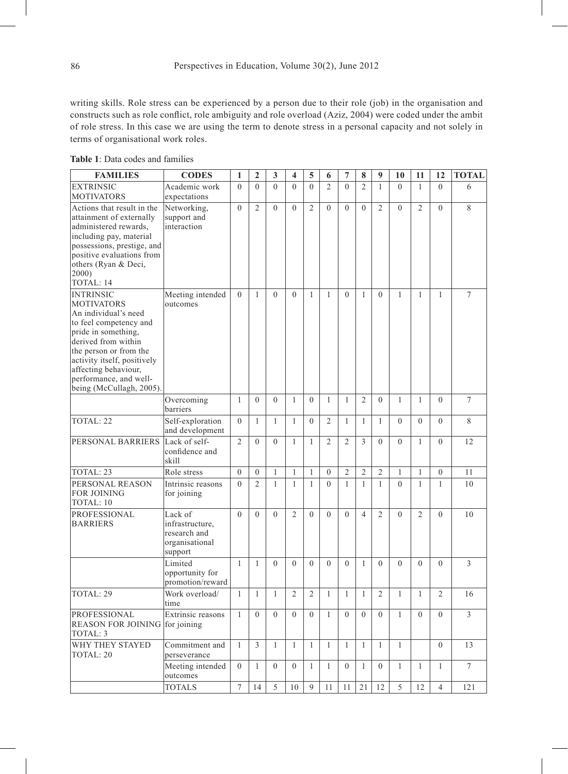writing skills. Role stress can be experienced by a person due to their role (job) in the organisation and constructs such as role conflict, role ambiguity and role overload (Aziz, 2004) were coded under the ambit of role stress. In this case we are using the term to denote stress in a personal capacity and not solely in terms of organisational work roles.

| <b>FAMILIES</b>                                                                                                                                                                                                                                                              | <b>CODES</b>                                                            | $\mathbf{1}$   | $\overline{2}$ | 3              | $\overline{\mathbf{4}}$ | 5              | 6              | $\overline{7}$ | 8              | 9              | 10             | 11             | 12             | <b>TOTAL</b>   |
|------------------------------------------------------------------------------------------------------------------------------------------------------------------------------------------------------------------------------------------------------------------------------|-------------------------------------------------------------------------|----------------|----------------|----------------|-------------------------|----------------|----------------|----------------|----------------|----------------|----------------|----------------|----------------|----------------|
| <b>EXTRINSIC</b><br><b>MOTIVATORS</b>                                                                                                                                                                                                                                        | Academic work<br>expectations                                           | $\theta$       | $\theta$       | $\theta$       | $\theta$                | $\theta$       | $\overline{2}$ | $\overline{0}$ | $\overline{2}$ | $\mathbf{1}$   | $\overline{0}$ | $\mathbf{1}$   | $\theta$       | 6              |
| Actions that result in the<br>attainment of externally<br>administered rewards,<br>including pay, material<br>possessions, prestige, and<br>positive evaluations from<br>others (Ryan & Deci,<br>2000)<br>TOTAL: 14                                                          | Networking,<br>support and<br>interaction                               | $\Omega$       | $\overline{2}$ | $\Omega$       | $\Omega$                | $\overline{2}$ | $\Omega$       | $\Omega$       | $\Omega$       | $\overline{2}$ | $\Omega$       | $\mathfrak{D}$ | $\Omega$       | 8              |
| <b>INTRINSIC</b><br><b>MOTIVATORS</b><br>An individual's need<br>to feel competency and<br>pride in something,<br>derived from within<br>the person or from the<br>activity itself, positively<br>affecting behaviour,<br>performance, and well-<br>being (McCullagh, 2005). | Meeting intended<br>outcomes                                            | $\theta$       | $\mathbf{1}$   | $\theta$       | $\theta$                | $\mathbf{1}$   | 1              | $\theta$       | $\mathbf{1}$   | $\theta$       | $\mathbf{1}$   | 1              | 1              | $\overline{7}$ |
|                                                                                                                                                                                                                                                                              | Overcoming<br>barriers                                                  | $\mathbf{1}$   | $\Omega$       | $\Omega$       | $\mathbf{1}$            | $\theta$       | 1              | $\mathbf{1}$   | $\overline{2}$ | $\Omega$       | $\mathbf{1}$   | $\mathbf{1}$   | $\Omega$       | $\overline{7}$ |
| TOTAL: 22                                                                                                                                                                                                                                                                    | Self-exploration<br>and development                                     | $\mathbf{0}$   | $\mathbf{1}$   | $\mathbf{1}$   | $\mathbf{1}$            | $\mathbf{0}$   | $\overline{2}$ | $\mathbf{1}$   | $\mathbf{1}$   | $\mathbf{1}$   | $\Omega$       | $\overline{0}$ | $\Omega$       | 8              |
| PERSONAL BARRIERS                                                                                                                                                                                                                                                            | Lack of self-<br>confidence and<br>skill                                | $\overline{c}$ | $\theta$       | $\Omega$       | $\mathbf{1}$            | $\mathbf{1}$   | $\overline{2}$ | $\overline{2}$ | 3              | $\theta$       | $\Omega$       | $\mathbf{1}$   | $\Omega$       | 12             |
| TOTAL: 23                                                                                                                                                                                                                                                                    | Role stress                                                             | $\theta$       | $\theta$       | $\mathbf{1}$   | $\mathbf{1}$            | $\mathbf{1}$   | $\theta$       | $\overline{2}$ | $\overline{2}$ | $\overline{2}$ | $\mathbf{1}$   | $\mathbf{1}$   | $\mathbf{0}$   | 11             |
| PERSONAL REASON<br><b>FOR JOINING</b><br>TOTAL: 10                                                                                                                                                                                                                           | Intrinsic reasons<br>for joining                                        | $\theta$       | $\overline{c}$ | $\mathbf{1}$   | $\mathbf{1}$            | $\mathbf{1}$   | $\theta$       | $\mathbf{1}$   | $\mathbf{1}$   | $\mathbf{1}$   | $\theta$       | $\mathbf{1}$   | $\mathbf{1}$   | 10             |
| PROFESSIONAL<br><b>BARRIERS</b>                                                                                                                                                                                                                                              | Lack of<br>infrastructure.<br>research and<br>organisational<br>support | $\theta$       | $\theta$       | $\theta$       | $\overline{2}$          | $\theta$       | $\theta$       | $\theta$       | $\overline{4}$ | $\overline{2}$ | $\theta$       | $\overline{2}$ | $\theta$       | 10             |
|                                                                                                                                                                                                                                                                              | Limited<br>opportunity for<br>promotion/reward                          | $\mathbf{1}$   | $\mathbf{1}$   | $\overline{0}$ | $\mathbf{0}$            | $\mathbf{0}$   | $\mathbf{0}$   | $\overline{0}$ | $\mathbf{1}$   | $\mathbf{0}$   | $\mathbf{0}$   | $\overline{0}$ | $\mathbf{0}$   | 3              |
| TOTAL: 29                                                                                                                                                                                                                                                                    | Work overload/<br>time                                                  | $\mathbf{1}$   | $\mathbf{1}$   | $\mathbf{1}$   | $\overline{2}$          | $\overline{2}$ | $\mathbf{1}$   | $\mathbf{1}$   | $\mathbf{1}$   | $\overline{2}$ | $\mathbf{1}$   | $\mathbf{1}$   | $\overline{2}$ | 16             |
| <b>PROFESSIONAL</b><br>REASON FOR JOINING for joining<br>TOTAL: 3                                                                                                                                                                                                            | Extrinsic reasons                                                       | $\mathbf{1}$   | $\theta$       | $\theta$       | $\theta$                | $\theta$       | $\mathbf{1}$   | $\theta$       | $\theta$       | $\theta$       | $\mathbf{1}$   | $\overline{0}$ | $\theta$       | 3              |
| WHY THEY STAYED<br>TOTAL: 20                                                                                                                                                                                                                                                 | Commitment and<br>perseverance                                          | $\mathbf{1}$   | 3              | $\mathbf{1}$   | $\mathbf{1}$            | $\mathbf{1}$   | $\mathbf{1}$   | $\mathbf{1}$   | $\mathbf{1}$   | $\mathbf{1}$   | $\mathbf{1}$   |                | $\theta$       | 13             |
|                                                                                                                                                                                                                                                                              | Meeting intended<br>outcomes                                            | $\Omega$       | $\mathbf{1}$   | $\Omega$       | $\Omega$                | $\mathbf{1}$   | $\mathbf{1}$   | $\Omega$       | $\mathbf{1}$   | $\Omega$       | $\mathbf{1}$   | $\mathbf{1}$   | 1              | $\overline{7}$ |
|                                                                                                                                                                                                                                                                              | <b>TOTALS</b>                                                           | $\overline{7}$ | 14             | 5              | 10                      | $\mathbf Q$    | 11             | 11             | 21             | 12             | 5              | 12             | $\overline{4}$ | 121            |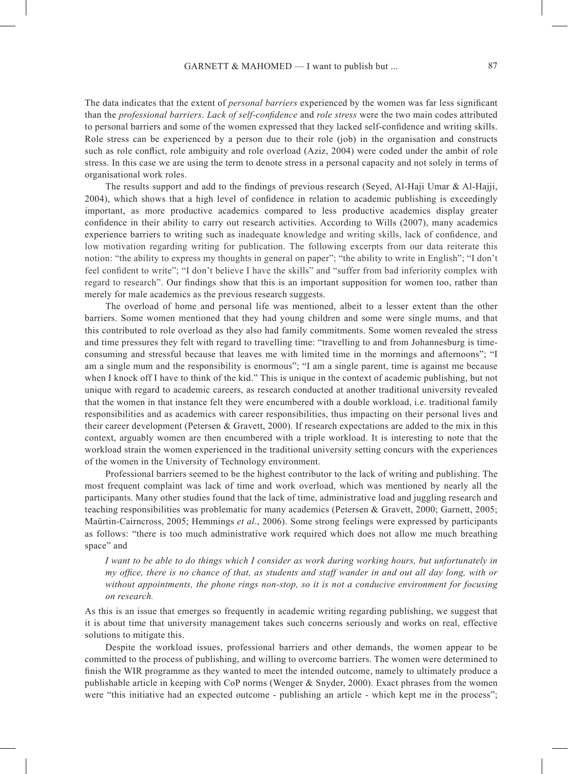The data indicates that the extent of *personal barriers* experienced by the women was far less significant than the *professional barriers*. *Lack of self-confidence* and *role stress* were the two main codes attributed to personal barriers and some of the women expressed that they lacked self-confidence and writing skills. Role stress can be experienced by a person due to their role (job) in the organisation and constructs such as role conflict, role ambiguity and role overload (Aziz, 2004) were coded under the ambit of role stress. In this case we are using the term to denote stress in a personal capacity and not solely in terms of organisational work roles.

The results support and add to the findings of previous research (Seyed, Al-Haji Umar  $\&$  Al-Hajji, 2004), which shows that a high level of confidence in relation to academic publishing is exceedingly important, as more productive academics compared to less productive academics display greater confidence in their ability to carry out research activities. According to Wills (2007), many academics experience barriers to writing such as inadequate knowledge and writing skills, lack of confidence, and low motivation regarding writing for publication. The following excerpts from our data reiterate this notion: "the ability to express my thoughts in general on paper"; "the ability to write in English"; "I don't feel confident to write"; "I don't believe I have the skills" and "suffer from bad inferiority complex with regard to research". Our findings show that this is an important supposition for women too, rather than merely for male academics as the previous research suggests.

The overload of home and personal life was mentioned, albeit to a lesser extent than the other barriers. Some women mentioned that they had young children and some were single mums, and that this contributed to role overload as they also had family commitments. Some women revealed the stress and time pressures they felt with regard to travelling time: "travelling to and from Johannesburg is timeconsuming and stressful because that leaves me with limited time in the mornings and afternoons"; "I am a single mum and the responsibility is enormous"; "I am a single parent, time is against me because when I knock off I have to think of the kid." This is unique in the context of academic publishing, but not unique with regard to academic careers, as research conducted at another traditional university revealed that the women in that instance felt they were encumbered with a double workload, i.e. traditional family responsibilities and as academics with career responsibilities, thus impacting on their personal lives and their career development (Petersen & Gravett, 2000). If research expectations are added to the mix in this context, arguably women are then encumbered with a triple workload. It is interesting to note that the workload strain the women experienced in the traditional university setting concurs with the experiences of the women in the University of Technology environment.

Professional barriers seemed to be the highest contributor to the lack of writing and publishing. The most frequent complaint was lack of time and work overload, which was mentioned by nearly all the participants. Many other studies found that the lack of time, administrative load and juggling research and teaching responsibilities was problematic for many academics (Petersen & Gravett, 2000; Garnett, 2005; Maürtin-Cairncross, 2005; Hemmings *et al*., 2006). Some strong feelings were expressed by participants as follows: "there is too much administrative work required which does not allow me much breathing space" and

*I want to be able to do things which I consider as work during working hours, but unfortunately in my office, there is no chance of that, as students and staff wander in and out all day long, with or without appointments, the phone rings non-stop, so it is not a conducive environment for focusing on research.*

As this is an issue that emerges so frequently in academic writing regarding publishing, we suggest that it is about time that university management takes such concerns seriously and works on real, effective solutions to mitigate this.

Despite the workload issues, professional barriers and other demands, the women appear to be committed to the process of publishing, and willing to overcome barriers. The women were determined to finish the WIR programme as they wanted to meet the intended outcome, namely to ultimately produce a publishable article in keeping with CoP norms (Wenger & Snyder, 2000). Exact phrases from the women were "this initiative had an expected outcome - publishing an article - which kept me in the process";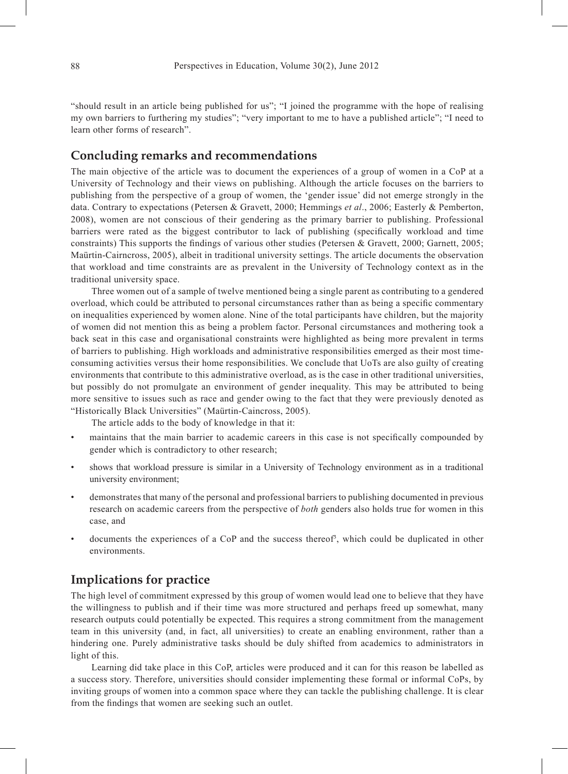"should result in an article being published for us"; "I joined the programme with the hope of realising my own barriers to furthering my studies"; "very important to me to have a published article"; "I need to learn other forms of research".

## **Concluding remarks and recommendations**

The main objective of the article was to document the experiences of a group of women in a CoP at a University of Technology and their views on publishing. Although the article focuses on the barriers to publishing from the perspective of a group of women, the 'gender issue' did not emerge strongly in the data. Contrary to expectations (Petersen & Gravett, 2000; Hemmings *et al*., 2006; Easterly & Pemberton, 2008), women are not conscious of their gendering as the primary barrier to publishing. Professional barriers were rated as the biggest contributor to lack of publishing (specifically workload and time constraints) This supports the findings of various other studies (Petersen & Gravett, 2000; Garnett, 2005; Maürtin-Cairncross, 2005), albeit in traditional university settings. The article documents the observation that workload and time constraints are as prevalent in the University of Technology context as in the traditional university space.

Three women out of a sample of twelve mentioned being a single parent as contributing to a gendered overload, which could be attributed to personal circumstances rather than as being a specific commentary on inequalities experienced by women alone. Nine of the total participants have children, but the majority of women did not mention this as being a problem factor. Personal circumstances and mothering took a back seat in this case and organisational constraints were highlighted as being more prevalent in terms of barriers to publishing. High workloads and administrative responsibilities emerged as their most timeconsuming activities versus their home responsibilities. We conclude that UoTs are also guilty of creating environments that contribute to this administrative overload, as is the case in other traditional universities, but possibly do not promulgate an environment of gender inequality. This may be attributed to being more sensitive to issues such as race and gender owing to the fact that they were previously denoted as "Historically Black Universities" (Maürtin-Caincross, 2005).

The article adds to the body of knowledge in that it:

- maintains that the main barrier to academic careers in this case is not specifically compounded by gender which is contradictory to other research;
- shows that workload pressure is similar in a University of Technology environment as in a traditional university environment;
- demonstrates that many of the personal and professional barriers to publishing documented in previous research on academic careers from the perspective of *both* genders also holds true for women in this case, and
- documents the experiences of a CoP and the success thereof<sup>3</sup>, which could be duplicated in other environments.

## **Implications for practice**

The high level of commitment expressed by this group of women would lead one to believe that they have the willingness to publish and if their time was more structured and perhaps freed up somewhat, many research outputs could potentially be expected. This requires a strong commitment from the management team in this university (and, in fact, all universities) to create an enabling environment, rather than a hindering one. Purely administrative tasks should be duly shifted from academics to administrators in light of this.

Learning did take place in this CoP, articles were produced and it can for this reason be labelled as a success story. Therefore, universities should consider implementing these formal or informal CoPs, by inviting groups of women into a common space where they can tackle the publishing challenge. It is clear from the findings that women are seeking such an outlet.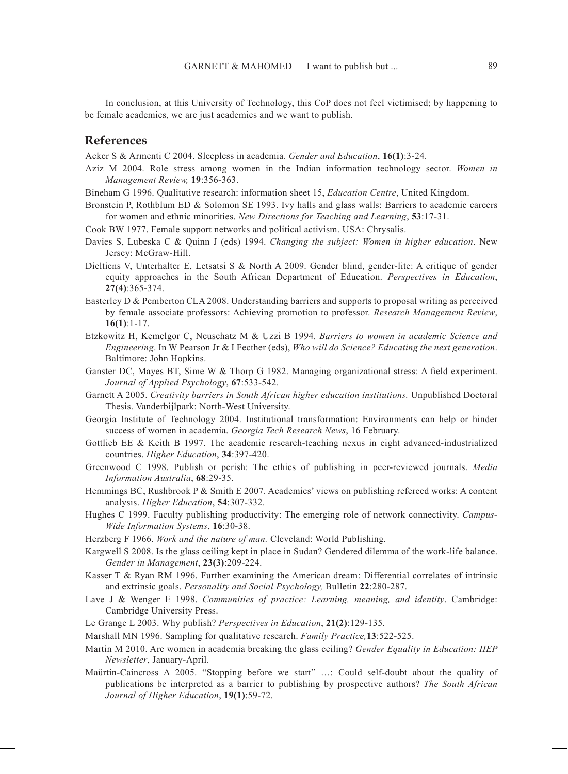In conclusion, at this University of Technology, this CoP does not feel victimised; by happening to be female academics, we are just academics and we want to publish.

## **References**

Acker S & Armenti C 2004. Sleepless in academia. *Gender and Education*, **16(1)**:3-24.

- Aziz M 2004. Role stress among women in the Indian information technology sector. *Women in Management Review,* **19**:356-363.
- Bineham G 1996. Qualitative research: information sheet 15, *Education Centre*, United Kingdom.
- Bronstein P, Rothblum ED & Solomon SE 1993. Ivy halls and glass walls: Barriers to academic careers for women and ethnic minorities. *New Directions for Teaching and Learning*, **53**:17-31.
- Cook BW 1977. Female support networks and political activism. USA: Chrysalis.
- Davies S, Lubeska C & Quinn J (eds) 1994. *Changing the subject: Women in higher education*. New Jersey: McGraw-Hill.
- Dieltiens V, Unterhalter E, Letsatsi S & North A 2009. Gender blind, gender-lite: A critique of gender equity approaches in the South African Department of Education. *Perspectives in Education*, **27(4)**:365-374.
- Easterley D & Pemberton CLA 2008. Understanding barriers and supports to proposal writing as perceived by female associate professors: Achieving promotion to professor. *Research Management Review*, **16(1)**:1-17.
- Etzkowitz H, Kemelgor C, Neuschatz M & Uzzi B 1994. *Barriers to women in academic Science and Engineering*. In W Pearson Jr & I Fecther (eds), *Who will do Science? Educating the next generation*. Baltimore: John Hopkins.
- Ganster DC, Mayes BT, Sime W & Thorp G 1982. Managing organizational stress: A field experiment. *Journal of Applied Psychology*, **67**:533-542.
- Garnett A 2005. *Creativity barriers in South African higher education institutions.* Unpublished Doctoral Thesis. Vanderbijlpark: North-West University.
- Georgia Institute of Technology 2004. Institutional transformation: Environments can help or hinder success of women in academia. *Georgia Tech Research News*, 16 February.
- Gottlieb EE & Keith B 1997. The academic research-teaching nexus in eight advanced-industrialized countries. *Higher Education*, **34**:397-420.
- Greenwood C 1998. Publish or perish: The ethics of publishing in peer-reviewed journals. *Media Information Australia*, **68**:29-35.
- Hemmings BC, Rushbrook P & Smith E 2007. Academics' views on publishing refereed works: A content analysis. *Higher Education*, **54**:307-332.
- Hughes C 1999. Faculty publishing productivity: The emerging role of network connectivity. *Campus-Wide Information Systems*, **16**:30-38.
- Herzberg F 1966. *Work and the nature of man.* Cleveland: World Publishing.
- Kargwell S 2008. Is the glass ceiling kept in place in Sudan? Gendered dilemma of the work-life balance. *Gender in Management*, **23(3)**:209-224.
- Kasser T & Ryan RM 1996. Further examining the American dream: Differential correlates of intrinsic and extrinsic goals. *Personality and Social Psychology,* Bulletin **22**:280-287.
- Lave J & Wenger E 1998. *Communities of practice: Learning, meaning, and identity*. Cambridge: Cambridge University Press.
- Le Grange L 2003. Why publish? *Perspectives in Education*, **21(2)**:129-135.
- Marshall MN 1996. Sampling for qualitative research. *Family Practice,***13**:522-525.
- Martin M 2010. Are women in academia breaking the glass ceiling? *Gender Equality in Education: IIEP Newsletter*, January-April.
- Maürtin-Caincross A 2005. "Stopping before we start" …: Could self-doubt about the quality of publications be interpreted as a barrier to publishing by prospective authors? *The South African Journal of Higher Education*, **19(1)**:59-72.